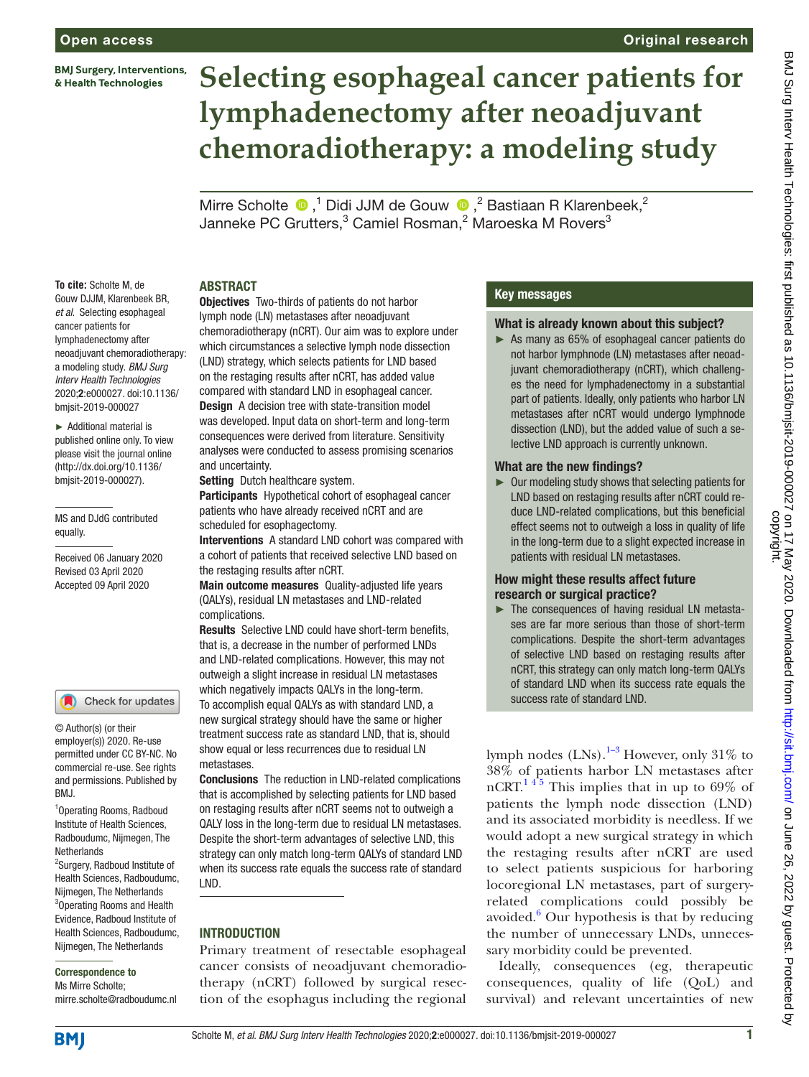**BMJ Surgery, Interventions,** & Health Technologies

# **Selecting esophageal cancer patients for lymphadenectomy after neoadjuvant chemoradiotherapy: a modeling study** Original research

MirreScholte  $\bullet$ , <sup>1</sup> Didi JJM de Gouw  $\bullet$ , <sup>2</sup> Bastiaan R Klarenbeek, <sup>2</sup> Janneke PC Grutters, $^3$  Camiel Rosman, $^2$  Maroeska M Rovers $^3$ 

# **ABSTRACT**

**To cite:** Scholte M, de Gouw DJJM, Klarenbeek BR, *et al*. Selecting esophageal cancer patients for lymphadenectomy after neoadjuvant chemoradiotherapy: a modeling study. *BMJ Surg Interv Health Technologies* 2020;2:e000027. doi:10.1136/ bmjsit-2019-000027

► Additional material is published online only. To view please visit the journal online (http://dx.doi.org/10.1136/ bmjsit-2019-000027).

MS and DJdG contributed equally.

Received 06 January 2020 Revised 03 April 2020 Accepted 09 April 2020



© Author(s) (or their employer(s)) 2020. Re-use permitted under CC BY-NC. No commercial re-use. See rights and permissions. Published by BMJ.

1 Operating Rooms, Radboud Institute of Health Sciences, Radboudumc, Nijmegen, The **Netherlands** 

<sup>2</sup>Surgery, Radboud Institute of Health Sciences, Radboudumc, Nijmegen, The Netherlands <sup>3</sup>Operating Rooms and Health Evidence, Radboud Institute of Health Sciences, Radboudumc, Nijmegen, The Netherlands

#### Correspondence to Ms Mirre Scholte;

mirre.scholte@radboudumc.nl

**Objectives** Two-thirds of patients do not harbor lymph node (LN) metastases after neoadjuvant chemoradiotherapy (nCRT). Our aim was to explore under which circumstances a selective lymph node dissection (LND) strategy, which selects patients for LND based on the restaging results after nCRT, has added value compared with standard LND in esophageal cancer. Design A decision tree with state-transition model was developed. Input data on short-term and long-term consequences were derived from literature. Sensitivity analyses were conducted to assess promising scenarios and uncertainty.

Setting Dutch healthcare system.

Participants Hypothetical cohort of esophageal cancer patients who have already received nCRT and are scheduled for esophagectomy.

Interventions A standard LND cohort was compared with a cohort of patients that received selective LND based on the restaging results after nCRT.

Main outcome measures Quality-adjusted life years (QALYs), residual LN metastases and LND-related complications.

Results Selective LND could have short-term benefits, that is, a decrease in the number of performed LNDs and LND-related complications. However, this may not outweigh a slight increase in residual LN metastases which negatively impacts QALYs in the long-term.

To accomplish equal QALYs as with standard LND, a new surgical strategy should have the same or higher treatment success rate as standard LND, that is, should show equal or less recurrences due to residual LN metastases.

Conclusions The reduction in LND-related complications that is accomplished by selecting patients for LND based on restaging results after nCRT seems not to outweigh a QALY loss in the long-term due to residual LN metastases. Despite the short-term advantages of selective LND, this strategy can only match long-term QALYs of standard LND when its success rate equals the success rate of standard LND.

# **INTRODUCTION**

Primary treatment of resectable esophageal cancer consists of neoadjuvant chemoradiotherapy (nCRT) followed by surgical resection of the esophagus including the regional

# Key messages

# What is already known about this subject?

► As many as 65% of esophageal cancer patients do not harbor lymphnode (LN) metastases after neoadjuvant chemoradiotherapy (nCRT), which challenges the need for lymphadenectomy in a substantial part of patients. Ideally, only patients who harbor LN metastases after nCRT would undergo lymphnode dissection (LND), but the added value of such a selective LND approach is currently unknown.

# What are the new findings?

► Our modeling study shows that selecting patients for LND based on restaging results after nCRT could reduce LND-related complications, but this beneficial effect seems not to outweigh a loss in quality of life in the long-term due to a slight expected increase in patients with residual LN metastases.

# How might these results affect future research or surgical practice?

► The consequences of having residual LN metastases are far more serious than those of short-term complications. Despite the short-term advantages of selective LND based on restaging results after nCRT, this strategy can only match long-term QALYs of standard LND when its success rate equals the success rate of standard LND.

lymph nodes  $(LNs).^{1-3}$  However, only 31% to 38% of patients harbor LN metastases after nCRT.<sup>14'5</sup> This implies that in up to 69% of patients the lymph node dissection (LND) and its associated morbidity is needless. If we would adopt a new surgical strategy in which the restaging results after nCRT are used to select patients suspicious for harboring locoregional LN metastases, part of surgeryrelated complications could possibly be avoided.<sup>[6](#page-7-0)</sup> Our hypothesis is that by reducing the number of unnecessary LNDs, unnecessary morbidity could be prevented.

Ideally, consequences (eg, therapeutic consequences, quality of life (QoL) and survival) and relevant uncertainties of new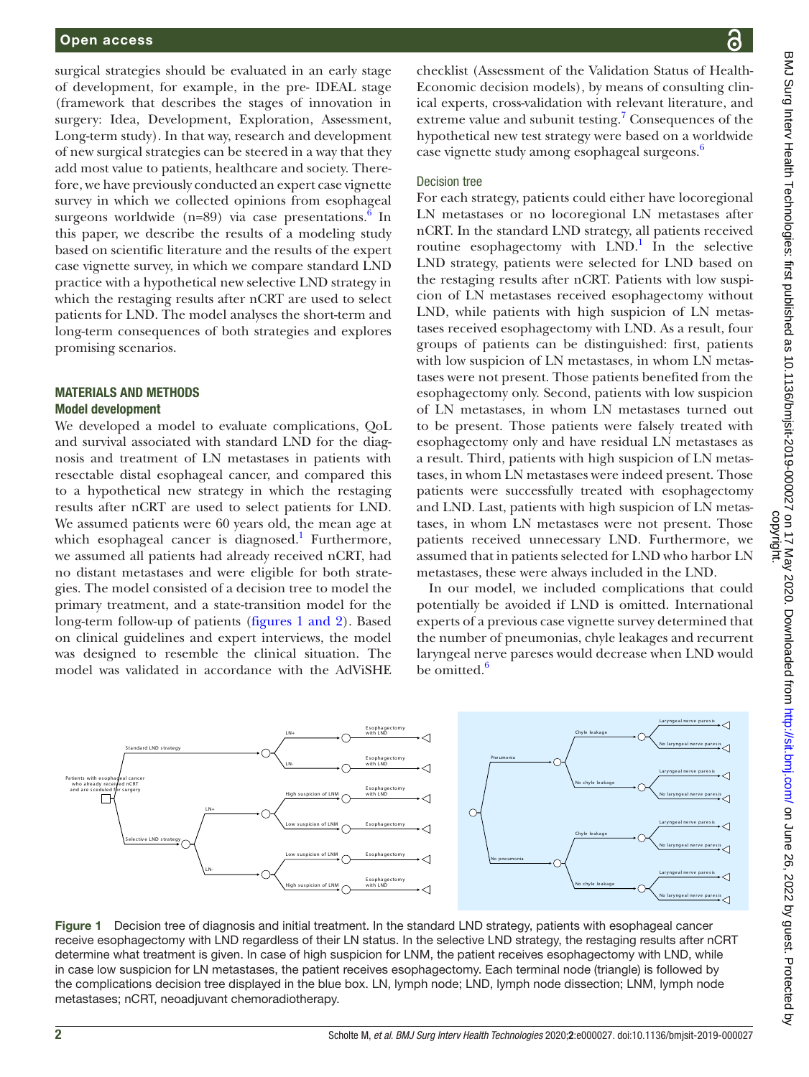#### Open access

surgical strategies should be evaluated in an early stage of development, for example, in the pre- IDEAL stage (framework that describes the stages of innovation in surgery: Idea, Development, Exploration, Assessment, Long-term study). In that way, research and development of new surgical strategies can be steered in a way that they add most value to patients, healthcare and society. Therefore, we have previously conducted an expert case vignette survey in which we collected opinions from esophageal surgeons worldwide (n=89) via case presentations.<sup>6</sup> In this paper, we describe the results of a modeling study based on scientific literature and the results of the expert case vignette survey, in which we compare standard LND practice with a hypothetical new selective LND strategy in which the restaging results after nCRT are used to select patients for LND. The model analyses the short-term and long-term consequences of both strategies and explores promising scenarios.

# Materials and methods Model development

We developed a model to evaluate complications, QoL and survival associated with standard LND for the diagnosis and treatment of LN metastases in patients with resectable distal esophageal cancer, and compared this to a hypothetical new strategy in which the restaging results after nCRT are used to select patients for LND. We assumed patients were 60 years old, the mean age at which esophageal cancer is diagnosed.<sup>1</sup> Furthermore, we assumed all patients had already received nCRT, had no distant metastases and were eligible for both strategies. The model consisted of a decision tree to model the primary treatment, and a state-transition model for the long-term follow-up of patients (figures [1 and 2](#page-1-0)). Based on clinical guidelines and expert interviews, the model was designed to resemble the clinical situation. The model was validated in accordance with the AdViSHE

checklist (Assessment of the Validation Status of Health-Economic decision models), by means of consulting clinical experts, cross-validation with relevant literature, and extreme value and subunit testing.<sup>7</sup> Consequences of the hypothetical new test strategy were based on a worldwide case vignette study among esophageal surgeons[.6](#page-7-0)

#### Decision tree

For each strategy, patients could either have locoregional LN metastases or no locoregional LN metastases after nCRT. In the standard LND strategy, all patients received routine esophagectomy with  $LND<sup>1</sup>$  In the selective LND strategy, patients were selected for LND based on the restaging results after nCRT. Patients with low suspicion of LN metastases received esophagectomy without LND, while patients with high suspicion of LN metastases received esophagectomy with LND. As a result, four groups of patients can be distinguished: first, patients with low suspicion of LN metastases, in whom LN metastases were not present. Those patients benefited from the esophagectomy only. Second, patients with low suspicion of LN metastases, in whom LN metastases turned out to be present. Those patients were falsely treated with esophagectomy only and have residual LN metastases as a result. Third, patients with high suspicion of LN metastases, in whom LN metastases were indeed present. Those patients were successfully treated with esophagectomy and LND. Last, patients with high suspicion of LN metastases, in whom LN metastases were not present. Those patients received unnecessary LND. Furthermore, we assumed that in patients selected for LND who harbor LN metastases, these were always included in the LND.

In our model, we included complications that could potentially be avoided if LND is omitted. International experts of a previous case vignette survey determined that the number of pneumonias, chyle leakages and recurrent laryngeal nerve pareses would decrease when LND would be omitted.<sup>[6](#page-7-0)</sup>



<span id="page-1-0"></span>Figure 1 Decision tree of diagnosis and initial treatment. In the standard LND strategy, patients with esophageal cancer receive esophagectomy with LND regardless of their LN status. In the selective LND strategy, the restaging results after nCRT determine what treatment is given. In case of high suspicion for LNM, the patient receives esophagectomy with LND, while in case low suspicion for LN metastases, the patient receives esophagectomy. Each terminal node (triangle) is followed by the complications decision tree displayed in the blue box. LN, lymph node; LND, lymph node dissection; LNM, lymph node metastases; nCRT, neoadjuvant chemoradiotherapy.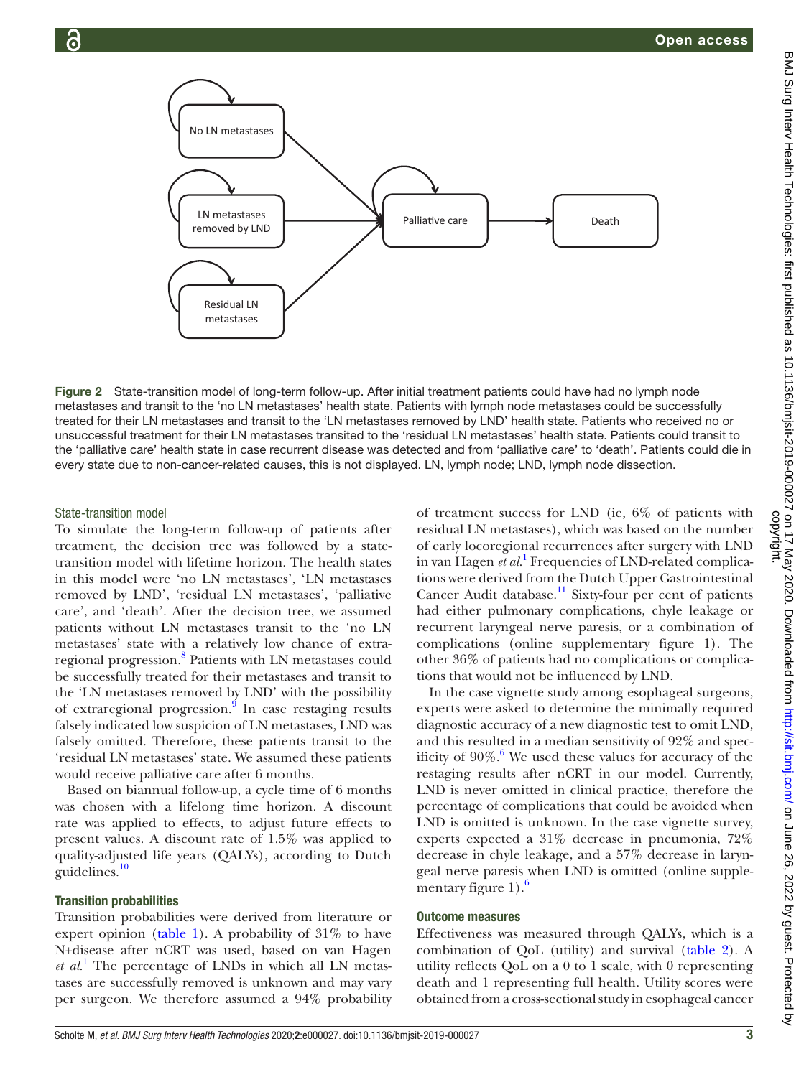

Figure 2 State-transition model of long-term follow-up. After initial treatment patients could have had no lymph node metastases and transit to the 'no LN metastases' health state. Patients with lymph node metastases could be successfully treated for their LN metastases and transit to the 'LN metastases removed by LND' health state. Patients who received no or unsuccessful treatment for their LN metastases transited to the 'residual LN metastases' health state. Patients could transit to the 'palliative care' health state in case recurrent disease was detected and from 'palliative care' to 'death'. Patients could die in every state due to non-cancer-related causes, this is not displayed. LN, lymph node; LND, lymph node dissection.

State-transition model

To simulate the long-term follow-up of patients after treatment, the decision tree was followed by a statetransition model with lifetime horizon. The health states in this model were 'no LN metastases', 'LN metastases removed by LND', 'residual LN metastases', 'palliative care', and 'death'. After the decision tree, we assumed patients without LN metastases transit to the 'no LN metastases' state with a relatively low chance of extra-regional progression.<sup>[8](#page-7-2)</sup> Patients with LN metastases could be successfully treated for their metastases and transit to the 'LN metastases removed by LND' with the possibility of extraregional progression.<sup>[9](#page-7-3)</sup> In case restaging results falsely indicated low suspicion of LN metastases, LND was falsely omitted. Therefore, these patients transit to the 'residual LN metastases' state. We assumed these patients would receive palliative care after 6 months.

Based on biannual follow-up, a cycle time of 6 months was chosen with a lifelong time horizon. A discount rate was applied to effects, to adjust future effects to present values. A discount rate of 1.5% was applied to quality-adjusted life years (QALYs), according to Dutch guidelines.[10](#page-7-4)

# Transition probabilities

Transition probabilities were derived from literature or expert opinion ([table](#page-3-0) 1). A probability of 31% to have N+disease after nCRT was used, based on van Hagen *et al*. [1](#page-6-0) The percentage of LNDs in which all LN metastases are successfully removed is unknown and may vary per surgeon. We therefore assumed a 94% probability of treatment success for LND (ie, 6% of patients with residual LN metastases), which was based on the number of early locoregional recurrences after surgery with LND in van Hagen et al.<sup>[1](#page-6-0)</sup> Frequencies of LND-related complications were derived from the Dutch Upper Gastrointestinal Cancer Audit database.<sup>11</sup> Sixty-four per cent of patients had either pulmonary complications, chyle leakage or recurrent laryngeal nerve paresis, or a combination of complications (online [supplementary figure 1](https://dx.doi.org/10.1136/bmjsit-2019-000027)). The other 36% of patients had no complications or complications that would not be influenced by LND.

In the case vignette study among esophageal surgeons, experts were asked to determine the minimally required diagnostic accuracy of a new diagnostic test to omit LND, and this resulted in a median sensitivity of 92% and specificity of  $90\%$ .<sup>6</sup> We used these values for accuracy of the restaging results after nCRT in our model. Currently, LND is never omitted in clinical practice, therefore the percentage of complications that could be avoided when LND is omitted is unknown. In the case vignette survey, experts expected a 31% decrease in pneumonia, 72% decrease in chyle leakage, and a 57% decrease in laryngeal nerve paresis when LND is omitted (online [supple](https://dx.doi.org/10.1136/bmjsit-2019-000027)mentary figure  $1$ ).<sup>6</sup>

#### Outcome measures

Effectiveness was measured through QALYs, which is a combination of QoL (utility) and survival [\(table](#page-4-0) 2). A utility reflects QoL on a 0 to 1 scale, with 0 representing death and 1 representing full health. Utility scores were obtained from a cross-sectional study in esophageal cancer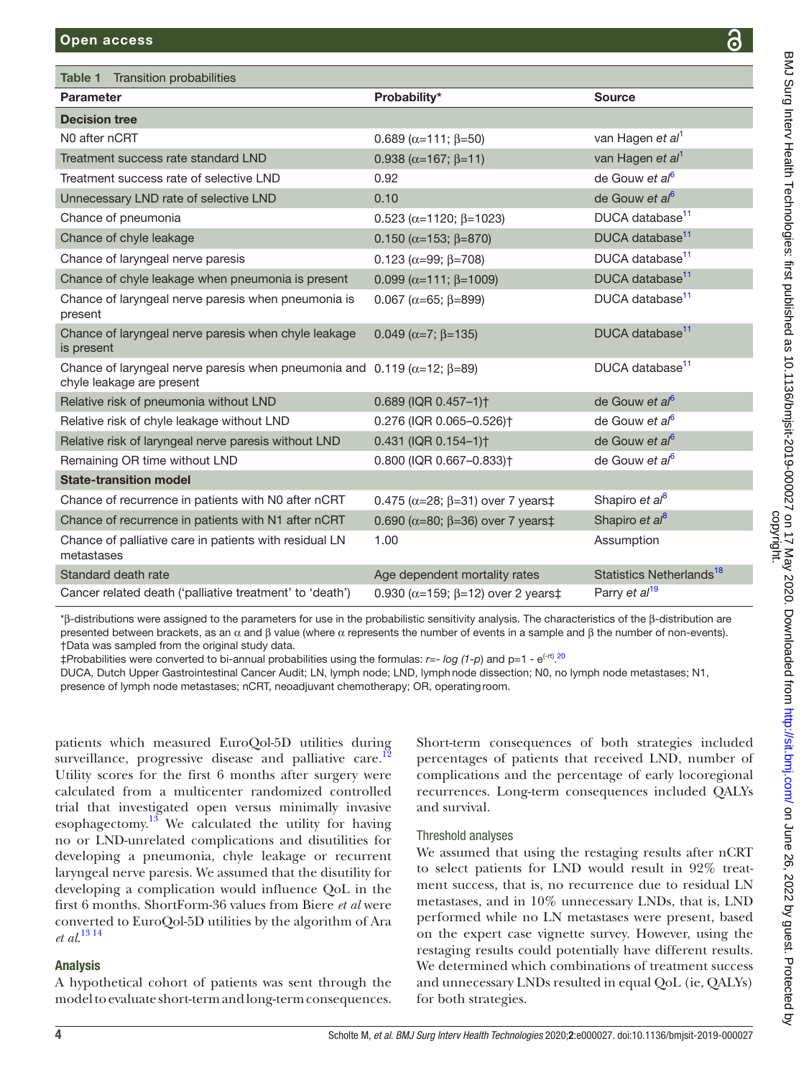Chance c is present

<span id="page-3-0"></span>

| Open access                                                    |                                          |                              |
|----------------------------------------------------------------|------------------------------------------|------------------------------|
| <b>Table 1</b><br><b>Transition probabilities</b>              |                                          |                              |
| <b>Parameter</b>                                               | Probability*                             | <b>Source</b>                |
| <b>Decision tree</b>                                           |                                          |                              |
| N0 after nCRT                                                  | $0.689$ ( $\alpha$ =111; $\beta$ =50)    | van Hagen et al <sup>1</sup> |
| Treatment success rate standard LND                            | 0.938 ( $\alpha$ =167; $\beta$ =11)      | van Hagen et al <sup>1</sup> |
| Treatment success rate of selective LND                        | 0.92                                     | de Gouw et al <sup>6</sup>   |
| Unnecessary LND rate of selective LND                          | 0.10                                     | de Gouw et al <sup>6</sup>   |
| Chance of pneumonia                                            | $0.523$ ( $\alpha$ =1120; $\beta$ =1023) | DUCA database <sup>11</sup>  |
| Chance of chyle leakage                                        | $0.150$ ( $\alpha$ =153; $\beta$ =870)   | DUCA database <sup>11</sup>  |
| Chance of laryngeal nerve paresis                              | 0.123 ( $\alpha$ =99; $\beta$ =708)      | DUCA database <sup>11</sup>  |
| Chance of chyle leakage when pneumonia is present              | $0.099$ ( $\alpha$ =111; $\beta$ =1009)  | DUCA database <sup>11</sup>  |
| Chance of laryngeal nerve paresis when pneumonia is<br>present | 0.067 ( $\alpha$ =65; $\beta$ =899)      | DUCA database <sup>11</sup>  |
| Chance of laryngeal nerve paresis when chyle leakage           | 0.049 ( $\alpha$ =7; $\beta$ =135)       | DUCA database <sup>11</sup>  |

| <b>IS DIGSCIIL</b>                                                                                                   |                                                            |                                      |
|----------------------------------------------------------------------------------------------------------------------|------------------------------------------------------------|--------------------------------------|
| Chance of laryngeal nerve paresis when pneumonia and 0.119 ( $\alpha$ =12; $\beta$ =89)<br>chyle leakage are present |                                                            | DUCA database <sup>11</sup>          |
| Relative risk of pneumonia without LND                                                                               | $0.689$ (IQR $0.457-1$ ) <sup>+</sup>                      | de Gouw et al <sup>6</sup>           |
| Relative risk of chyle leakage without LND                                                                           | 0.276 (IQR 0.065-0.526) <sup>+</sup>                       | de Gouw et al <sup>6</sup>           |
| Relative risk of laryngeal nerve paresis without LND                                                                 | $0.431$ (IQR $0.154-1$ ) <sup>+</sup>                      | de Gouw et al <sup>6</sup>           |
| Remaining OR time without LND                                                                                        | 0.800 (IQR 0.667-0.833) <sup>+</sup>                       | de Gouw et al <sup>6</sup>           |
| <b>State-transition model</b>                                                                                        |                                                            |                                      |
| Chance of recurrence in patients with N0 after nCRT                                                                  | 0.475 ( $\alpha$ =28; $\beta$ =31) over 7 years ‡          | Shapiro et al <sup>8</sup>           |
| Chance of recurrence in patients with N1 after nCRT                                                                  | 0.690 ( $\alpha$ =80; $\beta$ =36) over 7 years $\ddagger$ | Shapiro et al <sup>8</sup>           |
| Chance of palliative care in patients with residual LN<br>metastases                                                 | 1.00                                                       | Assumption                           |
| Standard death rate                                                                                                  | Age dependent mortality rates                              | Statistics Netherlands <sup>18</sup> |
| Cancer related death ('palliative treatment' to 'death')                                                             | 0.930 ( $\alpha$ =159; $\beta$ =12) over 2 years ‡         | Parry et al <sup>19</sup>            |

\*β-distributions were assigned to the parameters for use in the probabilistic sensitivity analysis. The characteristics of the β-distribution are presented between brackets, as an α and β value (where α represents the number of events in a sample and β the number of non-events). †Data was sampled from the original study data.

‡Probabilities were converted to bi-annual probabilities using the formulas: *r=- log (1-p*) and p=1 - e(-rt). [20](#page-7-8)

DUCA, Dutch Upper Gastrointestinal Cancer Audit; LN, lymph node; LND, lymphnode dissection; N0, no lymph node metastases; N1, presence of lymph node metastases; nCRT, neoadjuvant chemotherapy; OR, operatingroom.

patients which measured EuroQol-5D utilities during surveillance, progressive disease and palliative care.<sup>12</sup> Utility scores for the first 6 months after surgery were calculated from a multicenter randomized controlled trial that investigated open versus minimally invasive esophagectomy.<sup>13</sup> We calculated the utility for having no or LND-unrelated complications and disutilities for developing a pneumonia, chyle leakage or recurrent laryngeal nerve paresis. We assumed that the disutility for developing a complication would influence QoL in the first 6 months. ShortForm-36 values from Biere *et al* were converted to EuroQol-5D utilities by the algorithm of Ara *et al*. [13 14](#page-7-10)

# Analysis

A hypothetical cohort of patients was sent through the model to evaluate short-term and long-term consequences.

Short-term consequences of both strategies included percentages of patients that received LND, number of complications and the percentage of early locoregional recurrences. Long-term consequences included QALYs and survival.

# Threshold analyses

We assumed that using the restaging results after nCRT to select patients for LND would result in 92% treatment success, that is, no recurrence due to residual LN metastases, and in 10% unnecessary LNDs, that is, LND performed while no LN metastases were present, based on the expert case vignette survey. However, using the restaging results could potentially have different results. We determined which combinations of treatment success and unnecessary LNDs resulted in equal QoL (ie, QALYs) for both strategies.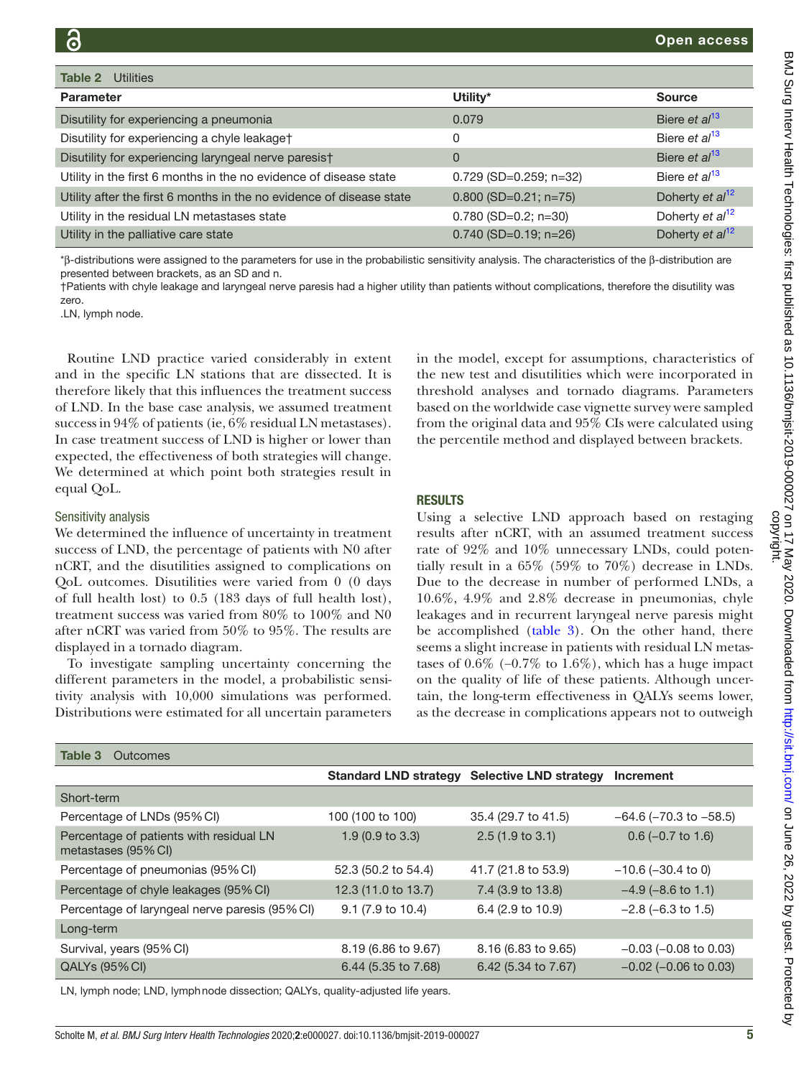<span id="page-4-0"></span>

| <b>Table 2</b> Utilities                                             |                          |                             |
|----------------------------------------------------------------------|--------------------------|-----------------------------|
| <b>Parameter</b>                                                     | Utility*                 | <b>Source</b>               |
| Disutility for experiencing a pneumonia                              | 0.079                    | Biere et $al^{13}$          |
| Disutility for experiencing a chyle leakaget                         | 0                        | Biere et al <sup>13</sup>   |
| Disutility for experiencing laryngeal nerve paresist                 | $\Omega$                 | Biere et al <sup>13</sup>   |
| Utility in the first 6 months in the no evidence of disease state    | $0.729$ (SD=0.259; n=32) | Biere et al <sup>13</sup>   |
| Utility after the first 6 months in the no evidence of disease state | $0.800$ (SD=0.21; n=75)  | Doherty et al <sup>12</sup> |
| Utility in the residual LN metastases state                          | $0.780$ (SD=0.2; n=30)   | Doherty et al <sup>12</sup> |
| Utility in the palliative care state                                 | $0.740$ (SD=0.19; n=26)  | Doherty et al <sup>12</sup> |

\*β-distributions were assigned to the parameters for use in the probabilistic sensitivity analysis. The characteristics of the β-distribution are presented between brackets, as an SD and n.

†Patients with chyle leakage and laryngeal nerve paresis had a higher utility than patients without complications, therefore the disutility was zero.

.LN, lymph node.

Routine LND practice varied considerably in extent and in the specific LN stations that are dissected. It is therefore likely that this influences the treatment success of LND. In the base case analysis, we assumed treatment success in 94% of patients (ie, 6% residual LN metastases). In case treatment success of LND is higher or lower than expected, the effectiveness of both strategies will change. We determined at which point both strategies result in equal QoL.

#### Sensitivity analysis

We determined the influence of uncertainty in treatment success of LND, the percentage of patients with N0 after nCRT, and the disutilities assigned to complications on QoL outcomes. Disutilities were varied from 0 (0 days of full health lost) to 0.5 (183 days of full health lost), treatment success was varied from 80% to 100% and N0 after nCRT was varied from 50% to 95%. The results are displayed in a tornado diagram.

To investigate sampling uncertainty concerning the different parameters in the model, a probabilistic sensitivity analysis with 10,000 simulations was performed. Distributions were estimated for all uncertain parameters

in the model, except for assumptions, characteristics of the new test and disutilities which were incorporated in threshold analyses and tornado diagrams. Parameters based on the worldwide case vignette survey were sampled from the original data and 95% CIs were calculated using the percentile method and displayed between brackets.

# **RESULTS**

Using a selective LND approach based on restaging results after nCRT, with an assumed treatment success rate of 92% and 10% unnecessary LNDs, could potentially result in a 65% (59% to 70%) decrease in LNDs. Due to the decrease in number of performed LNDs, a 10.6%, 4.9% and 2.8% decrease in pneumonias, chyle leakages and in recurrent laryngeal nerve paresis might be accomplished ([table](#page-4-1) 3). On the other hand, there seems a slight increase in patients with residual LN metastases of  $0.6\%$  (−0.7% to 1.6%), which has a huge impact on the quality of life of these patients. Although uncertain, the long-term effectiveness in QALYs seems lower, as the decrease in complications appears not to outweigh

<span id="page-4-1"></span>

| Table 3<br>Outcomes                                            |                              |                               |                                |
|----------------------------------------------------------------|------------------------------|-------------------------------|--------------------------------|
|                                                                | <b>Standard LND strategy</b> | <b>Selective LND strategy</b> | Increment                      |
| Short-term                                                     |                              |                               |                                |
| Percentage of LNDs (95% CI)                                    | 100 (100 to 100)             | 35.4 (29.7 to 41.5)           | $-64.6$ ( $-70.3$ to $-58.5$ ) |
| Percentage of patients with residual LN<br>metastases (95% CI) | $1.9(0.9 \text{ to } 3.3)$   | $2.5(1.9 \text{ to } 3.1)$    | $0.6$ (-0.7 to 1.6)            |
| Percentage of pneumonias (95% CI)                              | 52.3 (50.2 to 54.4)          | 41.7 (21.8 to 53.9)           | $-10.6$ ( $-30.4$ to 0)        |
| Percentage of chyle leakages (95% CI)                          | 12.3 (11.0 to 13.7)          | 7.4 (3.9 to 13.8)             | $-4.9$ ( $-8.6$ to 1.1)        |
| Percentage of laryngeal nerve paresis (95% CI)                 | 9.1 (7.9 to 10.4)            | 6.4 (2.9 to 10.9)             | $-2.8$ ( $-6.3$ to 1.5)        |
| Long-term                                                      |                              |                               |                                |
| Survival, years (95% CI)                                       | 8.19 (6.86 to 9.67)          | 8.16 (6.83 to 9.65)           | $-0.03$ ( $-0.08$ to 0.03)     |
| <b>QALYs (95% CI)</b>                                          | 6.44 (5.35 to 7.68)          | 6.42 (5.34 to 7.67)           | $-0.02$ ( $-0.06$ to 0.03)     |
|                                                                |                              |                               |                                |

LN, lymph node; LND, lymphnode dissection; QALYs, quality-adjusted life years.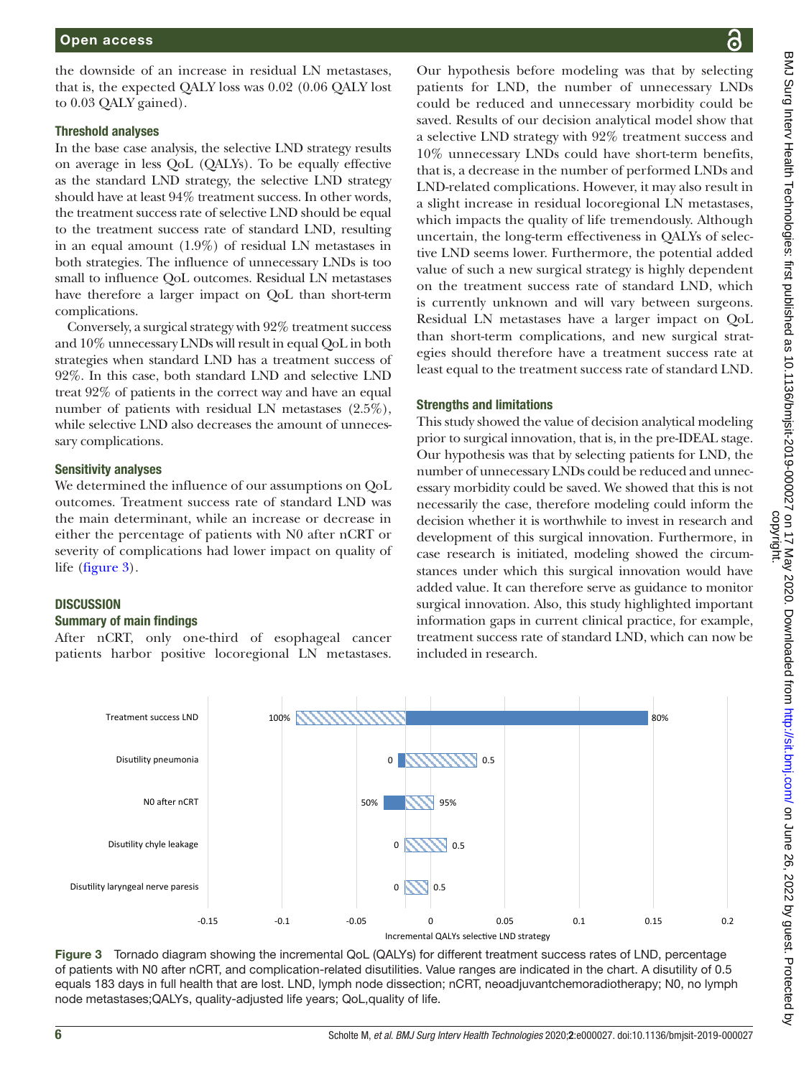the downside of an increase in residual LN metastases, that is, the expected QALY loss was 0.02 (0.06 QALY lost to 0.03 QALY gained).

#### Threshold analyses

In the base case analysis, the selective LND strategy results on average in less QoL (QALYs). To be equally effective as the standard LND strategy, the selective LND strategy should have at least 94% treatment success. In other words, the treatment success rate of selective LND should be equal to the treatment success rate of standard LND, resulting in an equal amount (1.9%) of residual LN metastases in both strategies. The influence of unnecessary LNDs is too small to influence QoL outcomes. Residual LN metastases have therefore a larger impact on QoL than short-term complications.

Conversely, a surgical strategy with 92% treatment success and 10% unnecessary LNDs will result in equal QoL in both strategies when standard LND has a treatment success of 92%. In this case, both standard LND and selective LND treat 92% of patients in the correct way and have an equal number of patients with residual LN metastases (2.5%), while selective LND also decreases the amount of unnecessary complications.

# Sensitivity analyses

We determined the influence of our assumptions on QoL outcomes. Treatment success rate of standard LND was the main determinant, while an increase or decrease in either the percentage of patients with N0 after nCRT or severity of complications had lower impact on quality of life [\(figure](#page-5-0) 3).

# **DISCUSSION**

# Summary of main findings

After nCRT, only one-third of esophageal cancer patients harbor positive locoregional LN metastases.

Our hypothesis before modeling was that by selecting patients for LND, the number of unnecessary LNDs could be reduced and unnecessary morbidity could be saved. Results of our decision analytical model show that a selective LND strategy with 92% treatment success and 10% unnecessary LNDs could have short-term benefits, that is, a decrease in the number of performed LNDs and LND-related complications. However, it may also result in a slight increase in residual locoregional LN metastases, which impacts the quality of life tremendously. Although uncertain, the long-term effectiveness in QALYs of selective LND seems lower. Furthermore, the potential added value of such a new surgical strategy is highly dependent on the treatment success rate of standard LND, which is currently unknown and will vary between surgeons. Residual LN metastases have a larger impact on QoL than short-term complications, and new surgical strategies should therefore have a treatment success rate at least equal to the treatment success rate of standard LND.

# Strengths and limitations

This study showed the value of decision analytical modeling prior to surgical innovation, that is, in the pre-IDEAL stage. Our hypothesis was that by selecting patients for LND, the number of unnecessary LNDs could be reduced and unnecessary morbidity could be saved. We showed that this is not necessarily the case, therefore modeling could inform the decision whether it is worthwhile to invest in research and development of this surgical innovation. Furthermore, in case research is initiated, modeling showed the circumstances under which this surgical innovation would have added value. It can therefore serve as guidance to monitor surgical innovation. Also, this study highlighted important information gaps in current clinical practice, for example, treatment success rate of standard LND, which can now be included in research.



<span id="page-5-0"></span>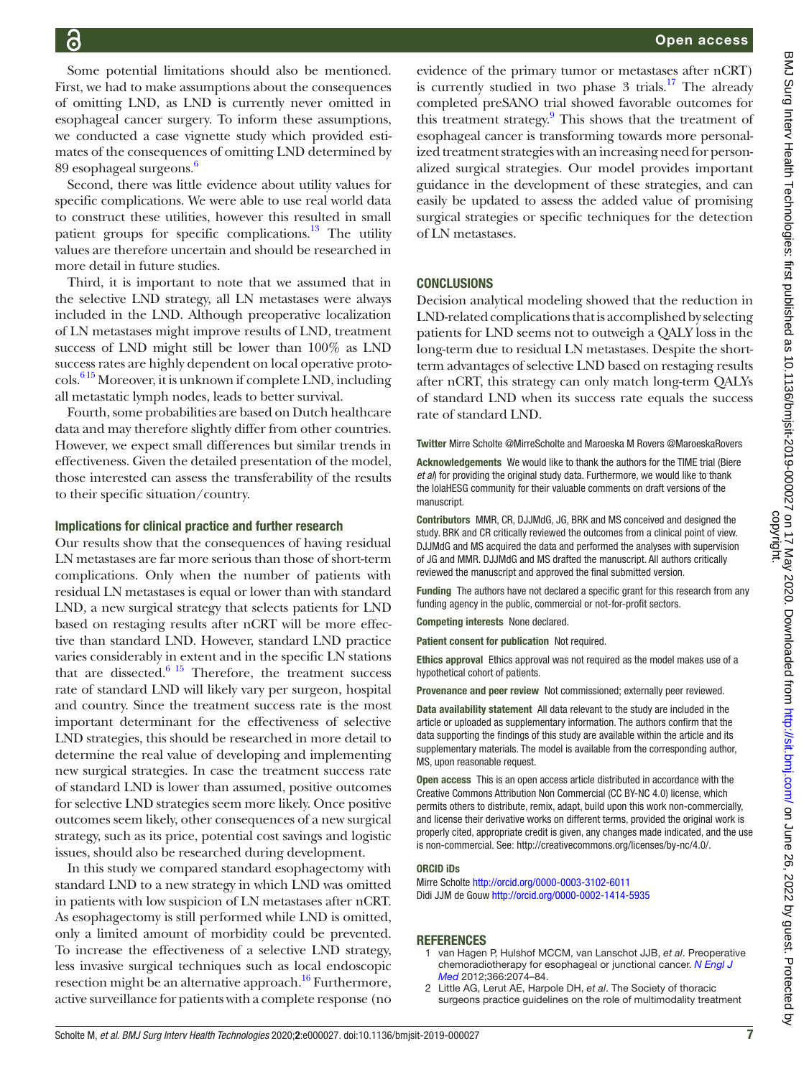Some potential limitations should also be mentioned. First, we had to make assumptions about the consequences of omitting LND, as LND is currently never omitted in esophageal cancer surgery. To inform these assumptions, we conducted a case vignette study which provided estimates of the consequences of omitting LND determined by 89 esophageal surgeons.<sup>[6](#page-7-0)</sup>

Second, there was little evidence about utility values for specific complications. We were able to use real world data to construct these utilities, however this resulted in small patient groups for specific complications.<sup>13</sup> The utility values are therefore uncertain and should be researched in more detail in future studies.

Third, it is important to note that we assumed that in the selective LND strategy, all LN metastases were always included in the LND. Although preoperative localization of LN metastases might improve results of LND, treatment success of LND might still be lower than 100% as LND success rates are highly dependent on local operative protocols[.6 15](#page-7-0) Moreover, it is unknown if complete LND, including all metastatic lymph nodes, leads to better survival.

Fourth, some probabilities are based on Dutch healthcare data and may therefore slightly differ from other countries. However, we expect small differences but similar trends in effectiveness. Given the detailed presentation of the model, those interested can assess the transferability of the results to their specific situation/country.

# Implications for clinical practice and further research

Our results show that the consequences of having residual LN metastases are far more serious than those of short-term complications. Only when the number of patients with residual LN metastases is equal or lower than with standard LND, a new surgical strategy that selects patients for LND based on restaging results after nCRT will be more effective than standard LND. However, standard LND practice varies considerably in extent and in the specific LN stations that are dissected.<sup>6 15</sup> Therefore, the treatment success rate of standard LND will likely vary per surgeon, hospital and country. Since the treatment success rate is the most important determinant for the effectiveness of selective LND strategies, this should be researched in more detail to determine the real value of developing and implementing new surgical strategies. In case the treatment success rate of standard LND is lower than assumed, positive outcomes for selective LND strategies seem more likely. Once positive outcomes seem likely, other consequences of a new surgical strategy, such as its price, potential cost savings and logistic issues, should also be researched during development.

In this study we compared standard esophagectomy with standard LND to a new strategy in which LND was omitted in patients with low suspicion of LN metastases after nCRT. As esophagectomy is still performed while LND is omitted, only a limited amount of morbidity could be prevented. To increase the effectiveness of a selective LND strategy, less invasive surgical techniques such as local endoscopic resection might be an alternative approach.<sup>16</sup> Furthermore, active surveillance for patients with a complete response (no

evidence of the primary tumor or metastases after nCRT) is currently studied in two phase  $3$  trials.<sup>17</sup> The already completed preSANO trial showed favorable outcomes for this treatment strategy.<sup>9</sup> This shows that the treatment of esophageal cancer is transforming towards more personalized treatment strategies with an increasing need for personalized surgical strategies. Our model provides important guidance in the development of these strategies, and can easily be updated to assess the added value of promising surgical strategies or specific techniques for the detection of LN metastases.

#### **CONCLUSIONS**

Decision analytical modeling showed that the reduction in LND-related complications that is accomplished by selecting patients for LND seems not to outweigh a QALY loss in the long-term due to residual LN metastases. Despite the shortterm advantages of selective LND based on restaging results after nCRT, this strategy can only match long-term QALYs of standard LND when its success rate equals the success rate of standard LND.

Twitter Mirre Scholte [@MirreScholte](https://twitter.com/MirreScholte) and Maroeska M Rovers [@MaroeskaRovers](https://twitter.com/MaroeskaRovers)

Acknowledgements We would like to thank the authors for the TIME trial (Biere *et al*) for providing the original study data. Furthermore, we would like to thank the lolaHESG community for their valuable comments on draft versions of the manuscript.

Contributors MMR, CR, DJJMdG, JG, BRK and MS conceived and designed the study. BRK and CR critically reviewed the outcomes from a clinical point of view. DJJMdG and MS acquired the data and performed the analyses with supervision of JG and MMR. DJJMdG and MS drafted the manuscript. All authors critically reviewed the manuscript and approved the final submitted version.

Funding The authors have not declared a specific grant for this research from any funding agency in the public, commercial or not-for-profit sectors.

Competing interests None declared.

Patient consent for publication Not required.

Ethics approval Ethics approval was not required as the model makes use of a hypothetical cohort of patients.

Provenance and peer review Not commissioned; externally peer reviewed.

Data availability statement All data relevant to the study are included in the article or uploaded as supplementary information. The authors confirm that the data supporting the findings of this study are available within the article and its supplementary materials. The model is available from the corresponding author, MS, upon reasonable request.

Open access This is an open access article distributed in accordance with the Creative Commons Attribution Non Commercial (CC BY-NC 4.0) license, which permits others to distribute, remix, adapt, build upon this work non-commercially, and license their derivative works on different terms, provided the original work is properly cited, appropriate credit is given, any changes made indicated, and the use is non-commercial. See: [http://creativecommons.org/licenses/by-nc/4.0/.](http://creativecommons.org/licenses/by-nc/4.0/)

#### ORCID iDs

Mirre Scholte<http://orcid.org/0000-0003-3102-6011> Didi JJM de Gouw<http://orcid.org/0000-0002-1414-5935>

#### <span id="page-6-0"></span>**REFERENCES**

- 1 van Hagen P, Hulshof MCCM, van Lanschot JJB, *et al*. Preoperative chemoradiotherapy for esophageal or junctional cancer. *[N Engl J](http://dx.doi.org/10.1056/NEJMoa1112088)  [Med](http://dx.doi.org/10.1056/NEJMoa1112088)* 2012;366:2074–84.
- 2 Little AG, Lerut AE, Harpole DH, *et al*. The Society of thoracic surgeons practice guidelines on the role of multimodality treatment